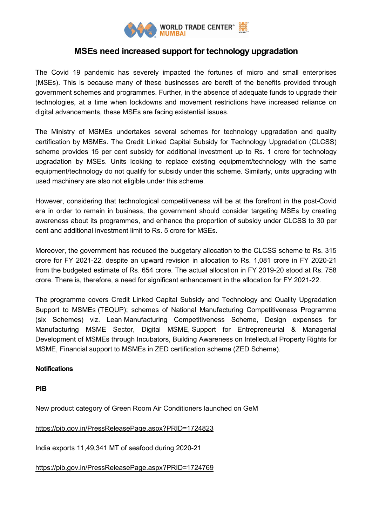

## **MSEs need increased support for technology upgradation**

The Covid 19 pandemic has severely impacted the fortunes of micro and small enterprises (MSEs). This is because many of these businesses are bereft of the benefits provided through government schemes and programmes. Further, in the absence of adequate funds to upgrade their technologies, at a time when lockdowns and movement restrictions have increased reliance on digital advancements, these MSEs are facing existential issues.

The Ministry of MSMEs undertakes several schemes for technology upgradation and quality certification by MSMEs. The Credit Linked Capital Subsidy for Technology Upgradation (CLCSS) scheme provides 15 per cent subsidy for additional investment up to Rs. 1 crore for technology upgradation by MSEs. Units looking to replace existing equipment/technology with the same equipment/technology do not qualify for subsidy under this scheme. Similarly, units upgrading with used machinery are also not eligible under this scheme.

However, considering that technological competitiveness will be at the forefront in the post-Covid era in order to remain in business, the government should consider targeting MSEs by creating awareness about its programmes, and enhance the proportion of subsidy under CLCSS to 30 per cent and additional investment limit to Rs. 5 crore for MSEs.

Moreover, the government has reduced the budgetary allocation to the CLCSS scheme to Rs. 315 crore for FY 2021-22, despite an upward revision in allocation to Rs. 1,081 crore in FY 2020-21 from the budgeted estimate of Rs. 654 crore. The actual allocation in FY 2019-20 stood at Rs. 758 crore. There is, therefore, a need for significant enhancement in the allocation for FY 2021-22.

The programme covers Credit Linked Capital Subsidy and Technology and Quality Upgradation Support to MSMEs (TEQUP); schemes of National Manufacturing Competitiveness Programme (six Schemes) viz. Lean Manufacturing Competitiveness Scheme, Design expenses for Manufacturing MSME Sector, Digital MSME, Support for Entrepreneurial & Managerial Development of MSMEs through Incubators, Building Awareness on Intellectual Property Rights for MSME, Financial support to MSMEs in ZED certification scheme (ZED Scheme).

## **Notifications**

**PIB**

New product category of Green Room Air Conditioners launched on GeM

## <https://pib.gov.in/PressReleasePage.aspx?PRID=1724823>

India exports 11,49,341 MT of seafood during 2020-21

<https://pib.gov.in/PressReleasePage.aspx?PRID=1724769>